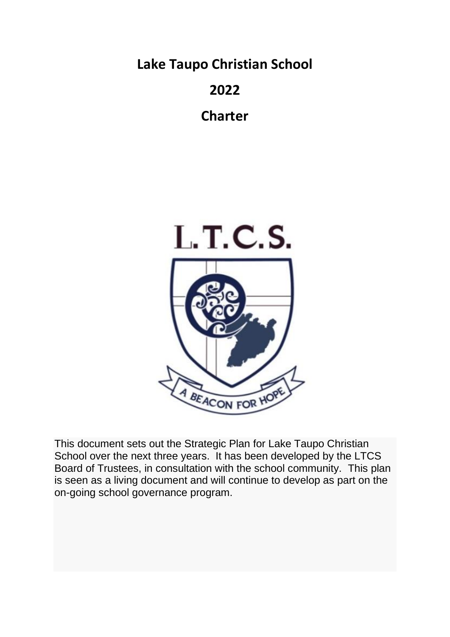**Lake Taupo Christian School**

## **2022**

**Charter**



This document sets out the Strategic Plan for Lake Taupo Christian School over the next three years. It has been developed by the LTCS Board of Trustees, in consultation with the school community. This plan is seen as a living document and will continue to develop as part on the on-going school governance program.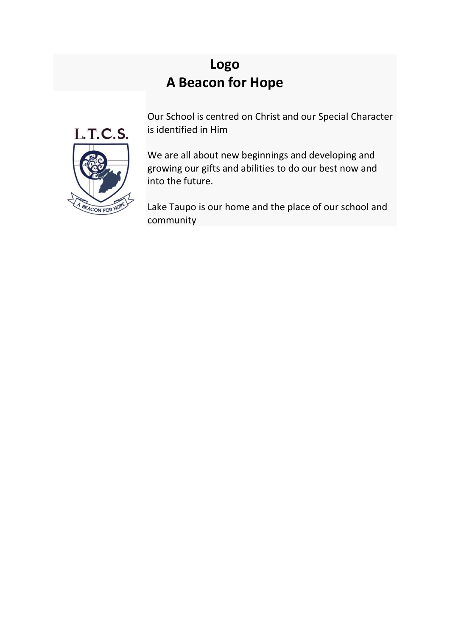# **Logo A Beacon for Hope**



Our School is centred on Christ and our Special Character is identified in Him

We are all about new beginnings and developing and growing our gifts and abilities to do our best now and into the future.

Lake Taupo is our home and the place of our school and community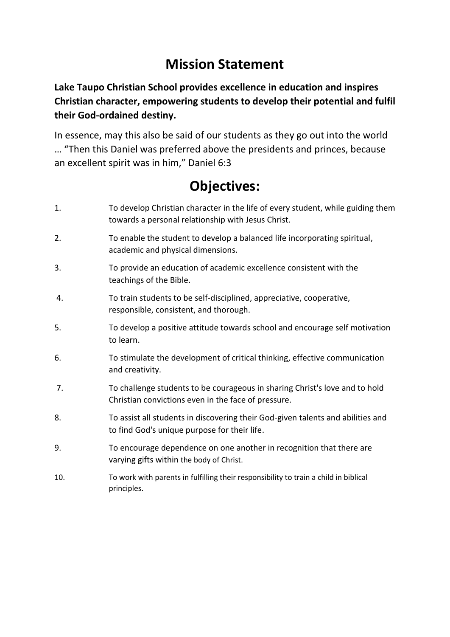## **Mission Statement**

**Lake Taupo Christian School provides excellence in education and inspires Christian character, empowering students to develop their potential and fulfil their God-ordained destiny.**

In essence, may this also be said of our students as they go out into the world … "Then this Daniel was preferred above the presidents and princes, because an excellent spirit was in him," Daniel 6:3

# **Objectives:**

- 1. To develop Christian character in the life of every student, while guiding them towards a personal relationship with Jesus Christ.
- 2. To enable the student to develop a balanced life incorporating spiritual, academic and physical dimensions.
- 3. To provide an education of academic excellence consistent with the teachings of the Bible.
- 4. To train students to be self-disciplined, appreciative, cooperative, responsible, consistent, and thorough.
- 5. To develop a positive attitude towards school and encourage self motivation to learn.
- 6. To stimulate the development of critical thinking, effective communication and creativity.
- 7. To challenge students to be courageous in sharing Christ's love and to hold Christian convictions even in the face of pressure.
- 8. To assist all students in discovering their God-given talents and abilities and to find God's unique purpose for their life.
- 9. To encourage dependence on one another in recognition that there are varying gifts within the body of Christ.
- 10. To work with parents in fulfilling their responsibility to train a child in biblical principles.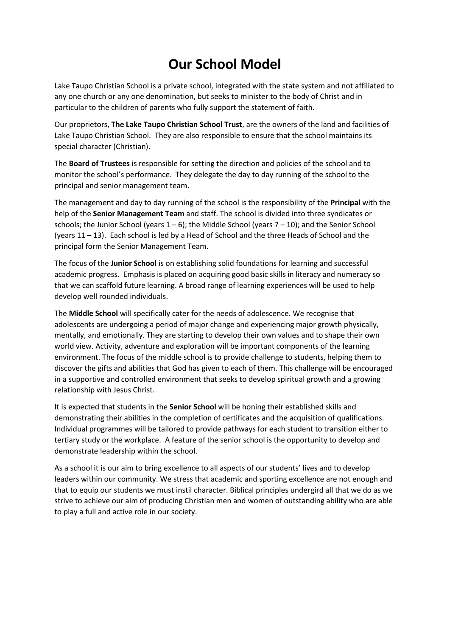## **Our School Model**

Lake Taupo Christian School is a private school, integrated with the state system and not affiliated to any one church or any one denomination, but seeks to minister to the body of Christ and in particular to the children of parents who fully support the statement of faith.

Our proprietors, **The Lake Taupo Christian School Trust**, are the owners of the land and facilities of Lake Taupo Christian School. They are also responsible to ensure that the school maintains its special character (Christian).

The **Board of Trustees** is responsible for setting the direction and policies of the school and to monitor the school's performance. They delegate the day to day running of the school to the principal and senior management team.

The management and day to day running of the school is the responsibility of the **Principal** with the help of the **Senior Management Team** and staff. The school is divided into three syndicates or schools; the Junior School (years  $1 - 6$ ); the Middle School (years  $7 - 10$ ); and the Senior School (years 11 – 13). Each school is led by a Head of School and the three Heads of School and the principal form the Senior Management Team.

The focus of the **Junior School** is on establishing solid foundations for learning and successful academic progress. Emphasis is placed on acquiring good basic skills in literacy and numeracy so that we can scaffold future learning. A broad range of learning experiences will be used to help develop well rounded individuals.

The **Middle School** will specifically cater for the needs of adolescence. We recognise that adolescents are undergoing a period of major change and experiencing major growth physically, mentally, and emotionally. They are starting to develop their own values and to shape their own world view. Activity, adventure and exploration will be important components of the learning environment. The focus of the middle school is to provide challenge to students, helping them to discover the gifts and abilities that God has given to each of them. This challenge will be encouraged in a supportive and controlled environment that seeks to develop spiritual growth and a growing relationship with Jesus Christ.

It is expected that students in the **Senior School** will be honing their established skills and demonstrating their abilities in the completion of certificates and the acquisition of qualifications. Individual programmes will be tailored to provide pathways for each student to transition either to tertiary study or the workplace. A feature of the senior school is the opportunity to develop and demonstrate leadership within the school.

As a school it is our aim to bring excellence to all aspects of our students' lives and to develop leaders within our community. We stress that academic and sporting excellence are not enough and that to equip our students we must instil character. Biblical principles undergird all that we do as we strive to achieve our aim of producing Christian men and women of outstanding ability who are able to play a full and active role in our society.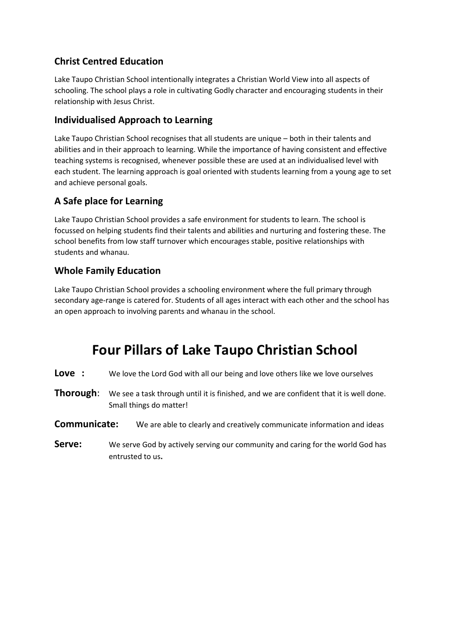### **Christ Centred Education**

Lake Taupo Christian School intentionally integrates a Christian World View into all aspects of schooling. The school plays a role in cultivating Godly character and encouraging students in their relationship with Jesus Christ.

### **Individualised Approach to Learning**

Lake Taupo Christian School recognises that all students are unique – both in their talents and abilities and in their approach to learning. While the importance of having consistent and effective teaching systems is recognised, whenever possible these are used at an individualised level with each student. The learning approach is goal oriented with students learning from a young age to set and achieve personal goals.

### **A Safe place for Learning**

Lake Taupo Christian School provides a safe environment for students to learn. The school is focussed on helping students find their talents and abilities and nurturing and fostering these. The school benefits from low staff turnover which encourages stable, positive relationships with students and whanau.

### **Whole Family Education**

Lake Taupo Christian School provides a schooling environment where the full primary through secondary age-range is catered for. Students of all ages interact with each other and the school has an open approach to involving parents and whanau in the school.

## **Four Pillars of Lake Taupo Christian School**

**Love** : We love the Lord God with all our being and love others like we love ourselves

**Thorough:** We see a task through until it is finished, and we are confident that it is well done. Small things do matter!

#### **Communicate:** We are able to clearly and creatively communicate information and ideas

**Serve:** We serve God by actively serving our community and caring for the world God has entrusted to us**.**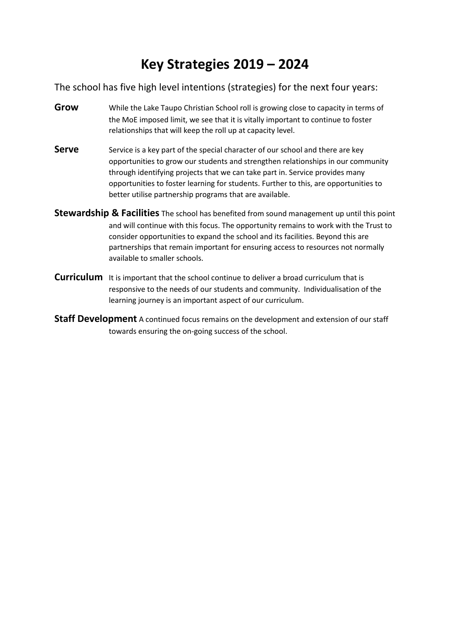## **Key Strategies 2019 – 2024**

The school has five high level intentions (strategies) for the next four years:

- **Grow** While the Lake Taupo Christian School roll is growing close to capacity in terms of the MoE imposed limit, we see that it is vitally important to continue to foster relationships that will keep the roll up at capacity level.
- **Serve** Service is a key part of the special character of our school and there are key opportunities to grow our students and strengthen relationships in our community through identifying projects that we can take part in. Service provides many opportunities to foster learning for students. Further to this, are opportunities to better utilise partnership programs that are available.
- **Stewardship & Facilities** The school has benefited from sound management up until this point and will continue with this focus. The opportunity remains to work with the Trust to consider opportunities to expand the school and its facilities. Beyond this are partnerships that remain important for ensuring access to resources not normally available to smaller schools.
- **Curriculum** It is important that the school continue to deliver a broad curriculum that is responsive to the needs of our students and community. Individualisation of the learning journey is an important aspect of our curriculum.
- **Staff Development** A continued focus remains on the development and extension of our staff towards ensuring the on-going success of the school.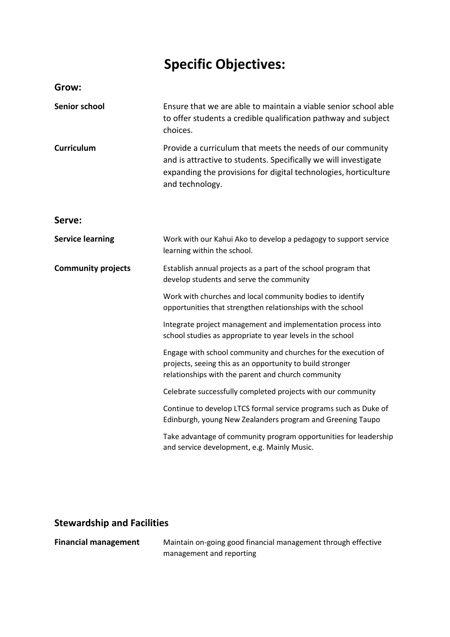# **Specific Objectives:**

| Grow:                     |                                                                                                                                                                                                                     |
|---------------------------|---------------------------------------------------------------------------------------------------------------------------------------------------------------------------------------------------------------------|
| Senior school             | Ensure that we are able to maintain a viable senior school able<br>to offer students a credible qualification pathway and subject<br>choices.                                                                       |
| <b>Curriculum</b>         | Provide a curriculum that meets the needs of our community<br>and is attractive to students. Specifically we will investigate<br>expanding the provisions for digital technologies, horticulture<br>and technology. |
| Serve:                    |                                                                                                                                                                                                                     |
| <b>Service learning</b>   | Work with our Kahui Ako to develop a pedagogy to support service<br>learning within the school.                                                                                                                     |
| <b>Community projects</b> | Establish annual projects as a part of the school program that<br>develop students and serve the community                                                                                                          |
|                           | Work with churches and local community bodies to identify<br>opportunities that strengthen relationships with the school                                                                                            |
|                           | Integrate project management and implementation process into<br>school studies as appropriate to year levels in the school                                                                                          |
|                           | Engage with school community and churches for the execution of<br>projects, seeing this as an opportunity to build stronger<br>relationships with the parent and church community                                   |
|                           | Celebrate successfully completed projects with our community                                                                                                                                                        |
|                           | Continue to develop LTCS formal service programs such as Duke of<br>Edinburgh, young New Zealanders program and Greening Taupo                                                                                      |
|                           | Take advantage of community program opportunities for leadership<br>and service development, e.g. Mainly Music.                                                                                                     |

### **Stewardship and Facilities**

**Financial management** Maintain on-going good financial management through effective management and reporting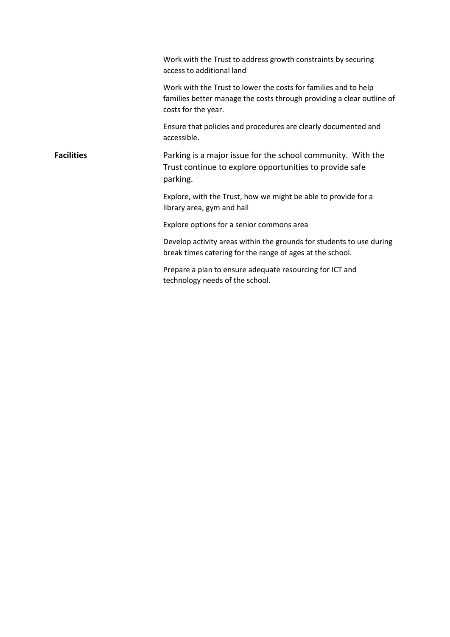|                   | Work with the Trust to address growth constraints by securing<br>access to additional land                                                                      |
|-------------------|-----------------------------------------------------------------------------------------------------------------------------------------------------------------|
|                   | Work with the Trust to lower the costs for families and to help<br>families better manage the costs through providing a clear outline of<br>costs for the year. |
|                   | Ensure that policies and procedures are clearly documented and<br>accessible.                                                                                   |
| <b>Facilities</b> | Parking is a major issue for the school community. With the<br>Trust continue to explore opportunities to provide safe<br>parking.                              |
|                   | Explore, with the Trust, how we might be able to provide for a<br>library area, gym and hall                                                                    |
|                   | Explore options for a senior commons area                                                                                                                       |
|                   | Develop activity areas within the grounds for students to use during<br>break times catering for the range of ages at the school.                               |
|                   | Prepare a plan to ensure adequate resourcing for ICT and<br>technology needs of the school.                                                                     |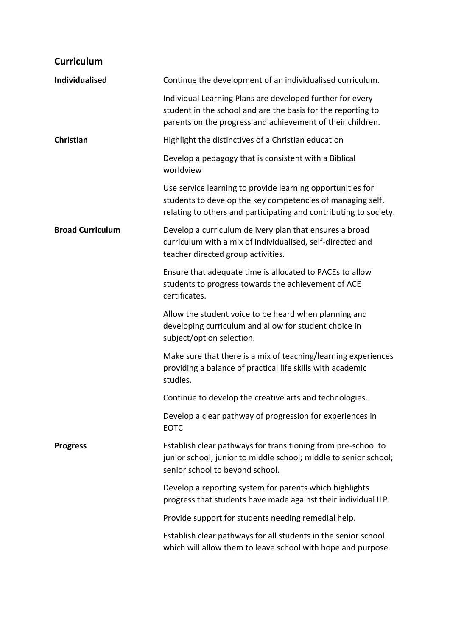### **Curriculum**

| <b>Individualised</b>   | Continue the development of an individualised curriculum.                                                                                                                                     |
|-------------------------|-----------------------------------------------------------------------------------------------------------------------------------------------------------------------------------------------|
|                         | Individual Learning Plans are developed further for every<br>student in the school and are the basis for the reporting to<br>parents on the progress and achievement of their children.       |
| Christian               | Highlight the distinctives of a Christian education                                                                                                                                           |
|                         | Develop a pedagogy that is consistent with a Biblical<br>worldview                                                                                                                            |
|                         | Use service learning to provide learning opportunities for<br>students to develop the key competencies of managing self,<br>relating to others and participating and contributing to society. |
| <b>Broad Curriculum</b> | Develop a curriculum delivery plan that ensures a broad<br>curriculum with a mix of individualised, self-directed and<br>teacher directed group activities.                                   |
|                         | Ensure that adequate time is allocated to PACEs to allow<br>students to progress towards the achievement of ACE<br>certificates.                                                              |
|                         | Allow the student voice to be heard when planning and<br>developing curriculum and allow for student choice in<br>subject/option selection.                                                   |
|                         | Make sure that there is a mix of teaching/learning experiences<br>providing a balance of practical life skills with academic<br>studies.                                                      |
|                         | Continue to develop the creative arts and technologies.                                                                                                                                       |
|                         | Develop a clear pathway of progression for experiences in<br><b>EOTC</b>                                                                                                                      |
| <b>Progress</b>         | Establish clear pathways for transitioning from pre-school to<br>junior school; junior to middle school; middle to senior school;<br>senior school to beyond school.                          |
|                         | Develop a reporting system for parents which highlights<br>progress that students have made against their individual ILP.                                                                     |
|                         | Provide support for students needing remedial help.                                                                                                                                           |
|                         | Establish clear pathways for all students in the senior school<br>which will allow them to leave school with hope and purpose.                                                                |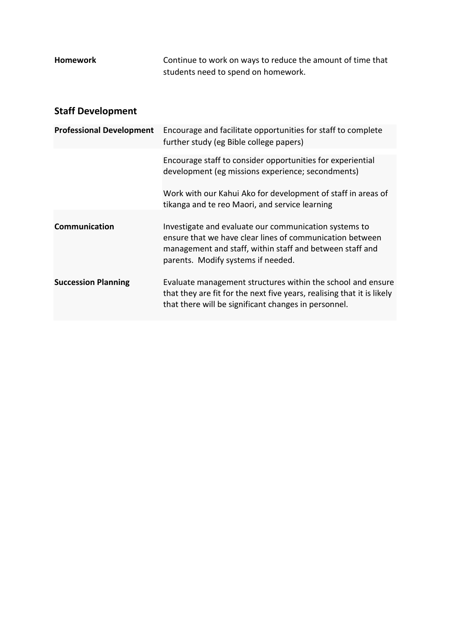| <b>Homework</b> | Continue to work on ways to reduce the amount of time that |
|-----------------|------------------------------------------------------------|
|                 | students need to spend on homework.                        |

### **Staff Development**

| <b>Professional Development</b> | Encourage and facilitate opportunities for staff to complete<br>further study (eg Bible college papers)                                                                                                                                                               |
|---------------------------------|-----------------------------------------------------------------------------------------------------------------------------------------------------------------------------------------------------------------------------------------------------------------------|
|                                 | Encourage staff to consider opportunities for experiential<br>development (eg missions experience; secondments)<br>Work with our Kahui Ako for development of staff in areas of                                                                                       |
| <b>Communication</b>            | tikanga and te reo Maori, and service learning<br>Investigate and evaluate our communication systems to<br>ensure that we have clear lines of communication between<br>management and staff, within staff and between staff and<br>parents. Modify systems if needed. |
| <b>Succession Planning</b>      | Evaluate management structures within the school and ensure<br>that they are fit for the next five years, realising that it is likely<br>that there will be significant changes in personnel.                                                                         |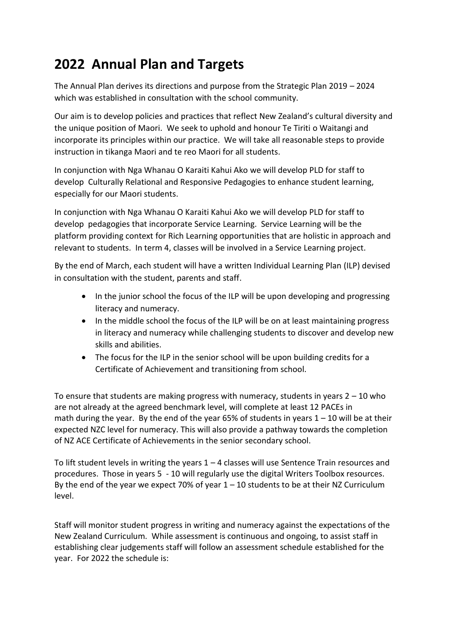# **2022 Annual Plan and Targets**

The Annual Plan derives its directions and purpose from the Strategic Plan 2019 – 2024 which was established in consultation with the school community.

Our aim is to develop policies and practices that reflect New Zealand's cultural diversity and the unique position of Maori. We seek to uphold and honour Te Tiriti o Waitangi and incorporate its principles within our practice. We will take all reasonable steps to provide instruction in tikanga Maori and te reo Maori for all students.

In conjunction with Nga Whanau O Karaiti Kahui Ako we will develop PLD for staff to develop Culturally Relational and Responsive Pedagogies to enhance student learning, especially for our Maori students.

In conjunction with Nga Whanau O Karaiti Kahui Ako we will develop PLD for staff to develop pedagogies that incorporate Service Learning. Service Learning will be the platform providing context for Rich Learning opportunities that are holistic in approach and relevant to students. In term 4, classes will be involved in a Service Learning project.

By the end of March, each student will have a written Individual Learning Plan (ILP) devised in consultation with the student, parents and staff.

- In the junior school the focus of the ILP will be upon developing and progressing literacy and numeracy.
- In the middle school the focus of the ILP will be on at least maintaining progress in literacy and numeracy while challenging students to discover and develop new skills and abilities.
- The focus for the ILP in the senior school will be upon building credits for a Certificate of Achievement and transitioning from school.

To ensure that students are making progress with numeracy, students in years  $2 - 10$  who are not already at the agreed benchmark level, will complete at least 12 PACEs in math during the year. By the end of the year 65% of students in years  $1 - 10$  will be at their expected NZC level for numeracy. This will also provide a pathway towards the completion of NZ ACE Certificate of Achievements in the senior secondary school.

To lift student levels in writing the years  $1 - 4$  classes will use Sentence Train resources and procedures. Those in years 5 - 10 will regularly use the digital Writers Toolbox resources. By the end of the year we expect 70% of year  $1 - 10$  students to be at their NZ Curriculum level.

Staff will monitor student progress in writing and numeracy against the expectations of the New Zealand Curriculum. While assessment is continuous and ongoing, to assist staff in establishing clear judgements staff will follow an assessment schedule established for the year. For 2022 the schedule is: